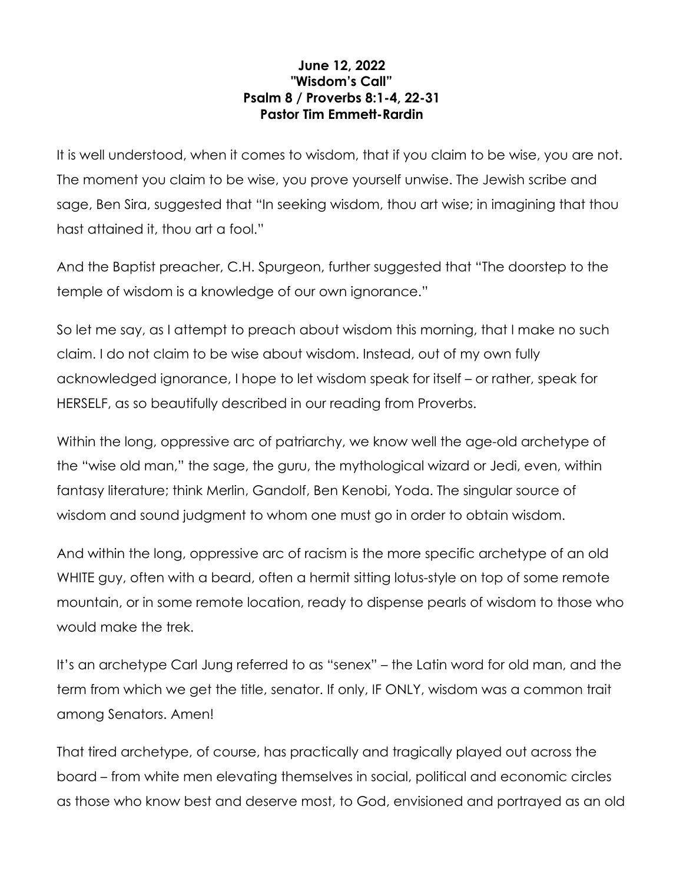## **June 12, 2022 "Wisdom's Call" Psalm 8 / Proverbs 8:1-4, 22-31 Pastor Tim Emmett-Rardin**

It is well understood, when it comes to wisdom, that if you claim to be wise, you are not. The moment you claim to be wise, you prove yourself unwise. The Jewish scribe and sage, Ben Sira, suggested that "In seeking wisdom, thou art wise; in imagining that thou hast attained it, thou art a fool."

And the Baptist preacher, C.H. Spurgeon, further suggested that "The doorstep to the temple of wisdom is a knowledge of our own ignorance."

So let me say, as I attempt to preach about wisdom this morning, that I make no such claim. I do not claim to be wise about wisdom. Instead, out of my own fully acknowledged ignorance, I hope to let wisdom speak for itself – or rather, speak for HERSELF, as so beautifully described in our reading from Proverbs.

Within the long, oppressive arc of patriarchy, we know well the age-old archetype of the "wise old man," the sage, the guru, the mythological wizard or Jedi, even, within fantasy literature; think Merlin, Gandolf, Ben Kenobi, Yoda. The singular source of wisdom and sound judgment to whom one must go in order to obtain wisdom.

And within the long, oppressive arc of racism is the more specific archetype of an old WHITE guy, often with a beard, often a hermit sitting lotus-style on top of some remote mountain, or in some remote location, ready to dispense pearls of wisdom to those who would make the trek.

It's an archetype Carl Jung referred to as "senex" – the Latin word for old man, and the term from which we get the title, senator. If only, IF ONLY, wisdom was a common trait among Senators. Amen!

That tired archetype, of course, has practically and tragically played out across the board – from white men elevating themselves in social, political and economic circles as those who know best and deserve most, to God, envisioned and portrayed as an old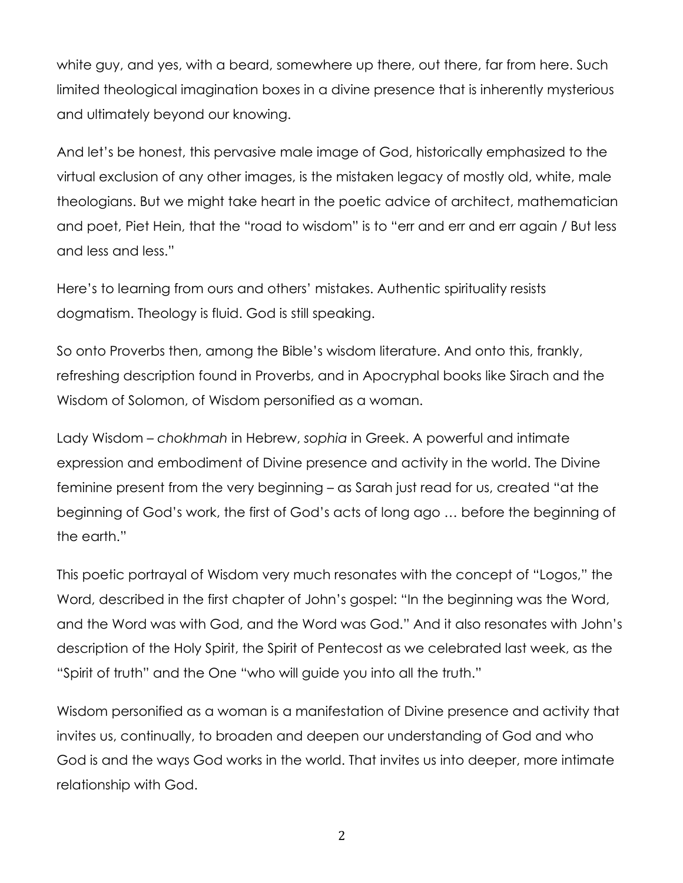white guy, and yes, with a beard, somewhere up there, out there, far from here. Such limited theological imagination boxes in a divine presence that is inherently mysterious and ultimately beyond our knowing.

And let's be honest, this pervasive male image of God, historically emphasized to the virtual exclusion of any other images, is the mistaken legacy of mostly old, white, male theologians. But we might take heart in the poetic advice of architect, mathematician and poet, Piet Hein, that the "road to wisdom" is to "err and err and err again / But less and less and less."

Here's to learning from ours and others' mistakes. Authentic spirituality resists dogmatism. Theology is fluid. God is still speaking.

So onto Proverbs then, among the Bible's wisdom literature. And onto this, frankly, refreshing description found in Proverbs, and in Apocryphal books like Sirach and the Wisdom of Solomon, of Wisdom personified as a woman.

Lady Wisdom – *chokhmah* in Hebrew, *sophia* in Greek. A powerful and intimate expression and embodiment of Divine presence and activity in the world. The Divine feminine present from the very beginning – as Sarah just read for us, created "at the beginning of God's work, the first of God's acts of long ago … before the beginning of the earth."

This poetic portrayal of Wisdom very much resonates with the concept of "Logos," the Word, described in the first chapter of John's gospel: "In the beginning was the Word, and the Word was with God, and the Word was God." And it also resonates with John's description of the Holy Spirit, the Spirit of Pentecost as we celebrated last week, as the "Spirit of truth" and the One "who will guide you into all the truth."

Wisdom personified as a woman is a manifestation of Divine presence and activity that invites us, continually, to broaden and deepen our understanding of God and who God is and the ways God works in the world. That invites us into deeper, more intimate relationship with God.

2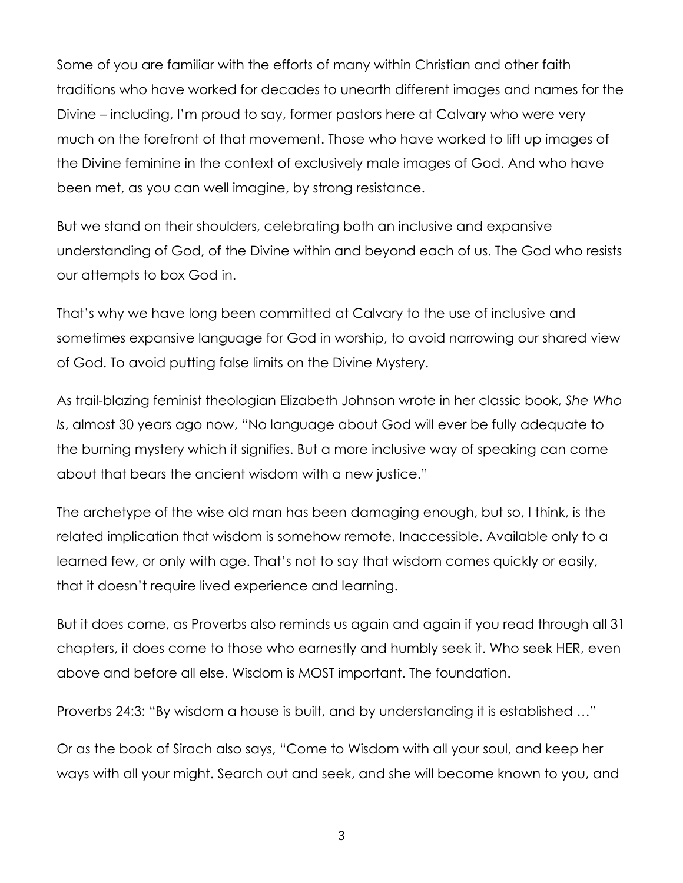Some of you are familiar with the efforts of many within Christian and other faith traditions who have worked for decades to unearth different images and names for the Divine – including, I'm proud to say, former pastors here at Calvary who were very much on the forefront of that movement. Those who have worked to lift up images of the Divine feminine in the context of exclusively male images of God. And who have been met, as you can well imagine, by strong resistance.

But we stand on their shoulders, celebrating both an inclusive and expansive understanding of God, of the Divine within and beyond each of us. The God who resists our attempts to box God in.

That's why we have long been committed at Calvary to the use of inclusive and sometimes expansive language for God in worship, to avoid narrowing our shared view of God. To avoid putting false limits on the Divine Mystery.

As trail-blazing feminist theologian Elizabeth Johnson wrote in her classic book, *She Who Is*, almost 30 years ago now, "No language about God will ever be fully adequate to the burning mystery which it signifies. But a more inclusive way of speaking can come about that bears the ancient wisdom with a new justice."

The archetype of the wise old man has been damaging enough, but so, I think, is the related implication that wisdom is somehow remote. Inaccessible. Available only to a learned few, or only with age. That's not to say that wisdom comes quickly or easily, that it doesn't require lived experience and learning.

But it does come, as Proverbs also reminds us again and again if you read through all 31 chapters, it does come to those who earnestly and humbly seek it. Who seek HER, even above and before all else. Wisdom is MOST important. The foundation.

Proverbs 24:3: "By wisdom a house is built, and by understanding it is established …"

Or as the book of Sirach also says, "Come to Wisdom with all your soul, and keep her ways with all your might. Search out and seek, and she will become known to you, and

3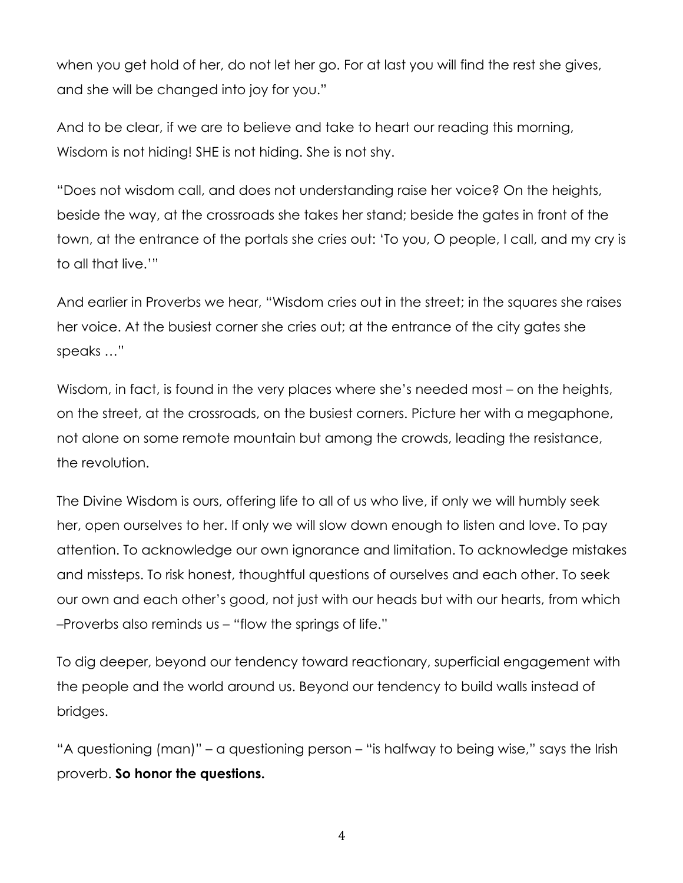when you get hold of her, do not let her go. For at last you will find the rest she gives, and she will be changed into joy for you."

And to be clear, if we are to believe and take to heart our reading this morning, Wisdom is not hiding! SHE is not hiding. She is not shy.

"Does not wisdom call, and does not understanding raise her voice? On the heights, beside the way, at the crossroads she takes her stand; beside the gates in front of the town, at the entrance of the portals she cries out: 'To you, O people, I call, and my cry is to all that live.'"

And earlier in Proverbs we hear, "Wisdom cries out in the street; in the squares she raises her voice. At the busiest corner she cries out; at the entrance of the city gates she speaks …"

Wisdom, in fact, is found in the very places where she's needed most – on the heights, on the street, at the crossroads, on the busiest corners. Picture her with a megaphone, not alone on some remote mountain but among the crowds, leading the resistance, the revolution.

The Divine Wisdom is ours, offering life to all of us who live, if only we will humbly seek her, open ourselves to her. If only we will slow down enough to listen and love. To pay attention. To acknowledge our own ignorance and limitation. To acknowledge mistakes and missteps. To risk honest, thoughtful questions of ourselves and each other. To seek our own and each other's good, not just with our heads but with our hearts, from which –Proverbs also reminds us – "flow the springs of life."

To dig deeper, beyond our tendency toward reactionary, superficial engagement with the people and the world around us. Beyond our tendency to build walls instead of bridges.

"A questioning (man)" – a questioning person – "is halfway to being wise," says the Irish proverb. **So honor the questions.**

4